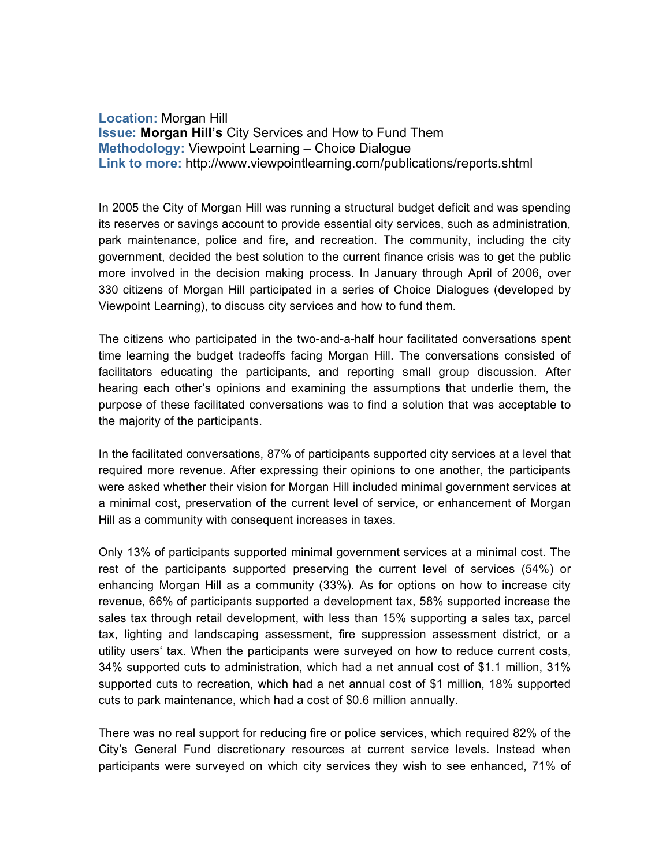**Location:** Morgan Hill **Issue: Morgan Hill's** City Services and How to Fund Them **Methodology:** Viewpoint Learning – Choice Dialogue **Link to more:** http://www.viewpointlearning.com/publications/reports.shtml

In 2005 the City of Morgan Hill was running a structural budget deficit and was spending its reserves or savings account to provide essential city services, such as administration, park maintenance, police and fire, and recreation. The community, including the city government, decided the best solution to the current finance crisis was to get the public more involved in the decision making process. In January through April of 2006, over 330 citizens of Morgan Hill participated in a series of Choice Dialogues (developed by Viewpoint Learning), to discuss city services and how to fund them.

The citizens who participated in the two-and-a-half hour facilitated conversations spent time learning the budget tradeoffs facing Morgan Hill. The conversations consisted of facilitators educating the participants, and reporting small group discussion. After hearing each other's opinions and examining the assumptions that underlie them, the purpose of these facilitated conversations was to find a solution that was acceptable to the majority of the participants.

In the facilitated conversations, 87% of participants supported city services at a level that required more revenue. After expressing their opinions to one another, the participants were asked whether their vision for Morgan Hill included minimal government services at a minimal cost, preservation of the current level of service, or enhancement of Morgan Hill as a community with consequent increases in taxes.

Only 13% of participants supported minimal government services at a minimal cost. The rest of the participants supported preserving the current level of services (54%) or enhancing Morgan Hill as a community (33%). As for options on how to increase city revenue, 66% of participants supported a development tax, 58% supported increase the sales tax through retail development, with less than 15% supporting a sales tax, parcel tax, lighting and landscaping assessment, fire suppression assessment district, or a utility users' tax. When the participants were surveyed on how to reduce current costs, 34% supported cuts to administration, which had a net annual cost of \$1.1 million, 31% supported cuts to recreation, which had a net annual cost of \$1 million, 18% supported cuts to park maintenance, which had a cost of \$0.6 million annually.

There was no real support for reducing fire or police services, which required 82% of the City's General Fund discretionary resources at current service levels. Instead when participants were surveyed on which city services they wish to see enhanced, 71% of